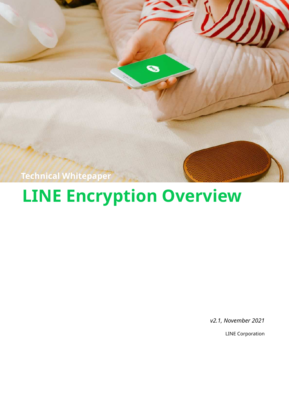

# **LINE Encryption Overview**

*v2.1, November 2021*

LINE Corporation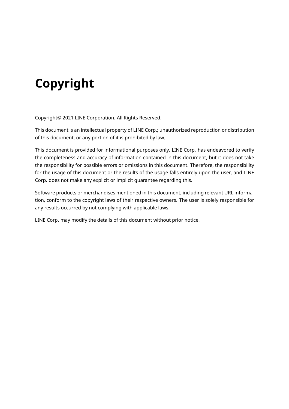## **Copyright**

Copyright© 2021 LINE Corporation. All Rights Reserved.

This document is an intellectual property of LINE Corp.; unauthorized reproduction or distribution of this document, or any portion of it is prohibited by law.

This document is provided for informational purposes only. LINE Corp. has endeavored to verify the completeness and accuracy of information contained in this document, but it does not take the responsibility for possible errors or omissions in this document. Therefore, the responsibility for the usage of this document or the results of the usage falls entirely upon the user, and LINE Corp. does not make any explicit or implicit guarantee regarding this.

Software products or merchandises mentioned in this document, including relevant URL information, conform to the copyright laws of their respective owners. The user is solely responsible for any results occurred by not complying with applicable laws.

LINE Corp. may modify the details of this document without prior notice.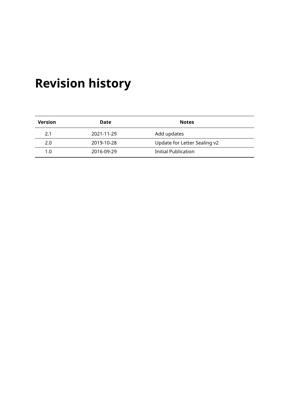## **Revision history**

| <b>Version</b> | Date       | <b>Notes</b>                 |
|----------------|------------|------------------------------|
| 2.1            | 2021-11-29 | Add updates                  |
| 2.0            | 2019-10-28 | Update for Letter Sealing v2 |
| 1.0            | 2016-09-29 | Initial Publication          |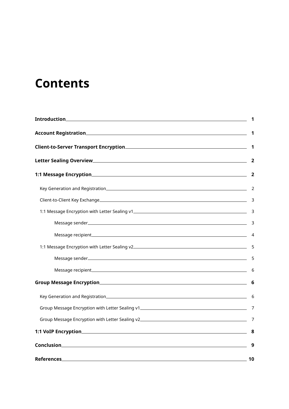## **Contents**

|  | $\mathbf 1$ |  |
|--|-------------|--|
|  |             |  |
|  |             |  |
|  |             |  |
|  |             |  |
|  |             |  |
|  |             |  |
|  |             |  |
|  |             |  |
|  |             |  |
|  |             |  |
|  |             |  |
|  |             |  |
|  |             |  |
|  |             |  |
|  |             |  |
|  |             |  |
|  | 9           |  |
|  |             |  |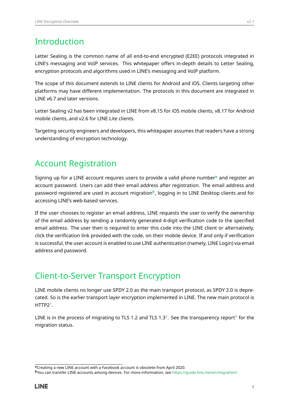## <span id="page-4-0"></span>Introduction

Letter Sealing is the common name of all end-to-end encrypted (E2EE) protocols integrated in LINE's messaging and VoIP services. This whitepaper offers in-depth details to Letter Sealing, encryption protocols and algorithms used in LINE's messaging and VoIP platform.

The scope of this document extends to LINE clients for Android and iOS. Clients targeting other platforms may have different implementation. The protocols in this document are integrated in LINE v6.7 and later versions.

Letter Sealing v2 has been integrated in LINE from v8.15 for iOS mobile clients, v8.17 for Android mobile clients, and v2.6 for LINE Lite clients.

<span id="page-4-1"></span>Targeting security engineers and developers, this whitepaper assumes that readers have a strong understanding of encryption technology.

## Account Registration

Signing up for a LINE account requires users to provide a valid phone number**[a](#page-4-4)** and register an account password. Users can add their email address after registration. The email address and password registered are used in account migration**[b](#page-4-5)** , logging in to LINE Desktop clients and for accessing LINE's web-based services.

If the user chooses to register an email address, LINE requests the user to verify the ownership of the email address by sending a randomly generated 4-digit verification code to the specified email address. The user then is required to enter this code into the LINE client or alternatively, click the verification link provided with the code, on their mobile device. If and only if verification is successful, the user account is enabled to use LINE authentication (namely, LINE Login) via email address and password.

## <span id="page-4-2"></span>Client-to-Server Transport Encryption

LINE mobile clients no longer use SPDY 2.0 as the main transport protocol, as SPDY 2.0 is deprecated. So is the earlier transport layer encryption implemented in LINE. The new main protocol is HTTP2[1](#page-13-0) .

<span id="page-4-3"></span>LINE is in the process of migrating to TLS 1.[2](#page-13-1) and TLS 1.[3](#page-13-2) $^2$ . See the transparency report $^3$  for the migration status.

**<sup>a</sup>**Creating a new LINE account with a Facebook account is obsolete from April 2020.

<span id="page-4-5"></span><span id="page-4-4"></span>**<sup>b</sup>**You can transfer LINE accounts among devices. For more information, see <https://guide.line.me/en/migration/>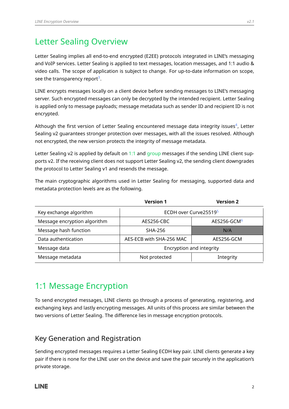## Letter Sealing Overview

Letter Sealing implies all end-to-end encrypted (E2EE) protocols integrated in LINE's messaging and VoIP services. Letter Sealing is applied to text messages, location messages, and 1:1 audio & video calls. The scope of application is subject to change. For up-to-date information on scope, see the transparency report $^3.$  $^3.$  $^3.$ 

LINE encrypts messages locally on a client device before sending messages to LINE's messaging server. Such encrypted messages can only be decrypted by the intended recipient. Letter Sealing is applied only to message payloads; message metadata such as sender ID and recipient ID is not encrypted.

Although the first version of Letter Sealing encountered message data integrity issues $^4$  $^4$ , Letter Sealing v2 guarantees stronger protection over messages, with all the issues resolved. Although not encrypted, the new version protects the integrity of message metadata.

Letter Sealing v2 is applied by default on [1:1](#page-5-0) and [group](#page-9-0) messages if the sending LINE client supports v2. If the receiving client does not support Letter Sealing v2, the sending client downgrades the protocol to Letter Sealing v1 and resends the message.

The main cryptographic algorithms used in Letter Sealing for messaging, supported data and metadata protection levels are as the following.

|                              | <b>Version 1</b>         | <b>Version 2</b>        |  |
|------------------------------|--------------------------|-------------------------|--|
| Key exchange algorithm       | ECDH over Curve255195    |                         |  |
| Message encryption algorithm | AES256-CBC               | AES256-GCM <sup>6</sup> |  |
| Message hash function        | <b>SHA-256</b>           | N/A                     |  |
| Data authentication          | AES-ECB with SHA-256 MAC | AES256-GCM              |  |
| Message data                 | Encryption and integrity |                         |  |
| Message metadata             | Not protected            | Integrity               |  |

## <span id="page-5-0"></span>1:1 Message Encryption

<span id="page-5-1"></span>To send encrypted messages, LINE clients go through a process of generating, registering, and exchanging keys and lastly encrypting messages. All units of this process are similar between the two versions of Letter Sealing. The difference lies in message encryption protocols.

## Key Generation and Registration

Sending encrypted messages requires a Letter Sealing ECDH key pair. LINE clients generate a key pair if there is none for the LINE user on the device and save the pair securely in the application's private storage.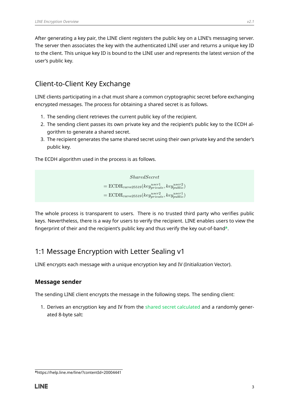<span id="page-6-0"></span>After generating a key pair, the LINE client registers the public key on a LINE's messaging server. The server then associates the key with the authenticated LINE user and returns a unique key ID to the client. This unique key ID is bound to the LINE user and represents the latest version of the user's public key.

### Client-to-Client Key Exchange

LINE clients participating in a chat must share a common cryptographic secret before exchanging encrypted messages. The process for obtaining a shared secret is as follows.

- 1. The sending client retrieves the current public key of the recipient.
- 2. The sending client passes its own private key and the recipient's public key to the ECDH algorithm to generate a shared secret.
- 3. The recipient generates the same shared secret using their own private key and the sender's public key.

The ECDH algorithm used in the process is as follows.

*SharedSecret*  $=$   $ECDH_{curve25519}(key_{private}^{user1},key_{public}^{user2})$  $=$   $ECDH_{curve25519}(key_{private}^{user2},key_{public}^{user1})$ 

<span id="page-6-1"></span>The whole process is transparent to users. There is no trusted third party who verifies public keys. Nevertheless, there is a way for users to verify the recipient. LINE enables users to view the fingerprint of their and the recipient's public key and thus verify the key out-of-band**[a](#page-6-3)** .

## 1:1 Message Encryption with Letter Sealing v1

<span id="page-6-2"></span>LINE encrypts each message with a unique encryption key and IV (Initialization Vector).

#### **Message sender**

The sending LINE client encrypts the message in the following steps. The sending client:

1. Derives an encryption key and IV from the [shared secret calculated](#page-6-0) and a randomly generated 8-byte salt:

<span id="page-6-3"></span>**<sup>a</sup>**https://help.line.me/line/?contentId=20004441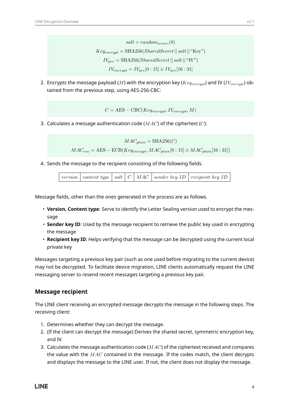$salt = random_{secur}(8)$  $Key_{encrunt} = SHA256(SharedSecret || salt || "Key")$  $IV_{pre} = \text{SHA256}(SharedSecret|| salt||\text{``IV''})$  $IV_{encrunt} = IV_{pre}[0:15] \oplus IV_{pre}[16:31]$ 

2. Encrypts the message payload (*M*) with the encryption key (*Keyencrypt*) and IV (*IVencrypt*) obtained from the previous step, using AES-256-CBC:

 $C = \text{AES} - \text{CBC}(Key_{encrunt}, IV_{encrunt}, M)$ 

3. Calculates a message authentication code (*MAC*) of the ciphertext (*C*):

 $MAC<sub>plain</sub> = SHA256(C)$ 

 $MAC_{enc} = AES - ECB(Key_{encrypt}, MAC_{plain}[0:15] \oplus MAC_{plain}[16:31])$ 

4. Sends the message to the recipient consisting of the following fields.

|--|

Message fields, other than the ones generated in the process are as follows.

- **Version, Content type**: Serve to identify the Letter Sealing version used to encrypt the message
- **Sender key ID**: Used by the message recipient to retrieve the public key used in encrypting the message
- **Recipient key ID**: Helps verifying that the message can be decrypted using the current local private key

<span id="page-7-0"></span>Messages targeting a previous key pair (such as one used before migrating to the current device) may not be decrypted. To facilitate device migration, LINE clients automatically request the LINE messaging server to resend recent messages targeting a previous key pair.

#### **Message recipient**

The LINE client receiving an encrypted message decrypts the message in the following steps. The receiving client:

- 1. Determines whether they can decrypt the message.
- 2. (If the client can decrypt the message) Derives the shared secret, symmetric encryption key, and IV.
- <span id="page-7-1"></span>3. Calculates the message authentication code (*MAC*) of the ciphertext received and compares the value with the *MAC* contained in the message. If the codes match, the client decrypts and displays the message to the LINE user. If not, the client does not display the message.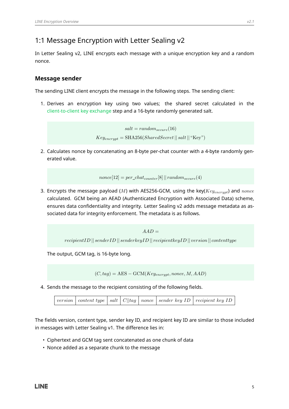## 1:1 Message Encryption with Letter Sealing v2

<span id="page-8-0"></span>In Letter Sealing v2, LINE encrypts each message with a unique encryption key and a random nonce.

#### **Message sender**

The sending LINE client encrypts the message in the following steps. The sending client:

1. Derives an encryption key using two values; the shared secret calculated in the [client-to-client key exchange](#page-6-0) step and a 16-byte randomly generated salt.

> $salt = random_{secure}(16)$  $Key_{\text{energy}} = \text{SHA256}(SharedSecret || salt || \text{``Key''})$

2. Calculates nonce by concatenating an 8-byte per-chat counter with a 4-byte randomly generated value.

```
nonce[12] = per_chatcounter[8] || randomsecure(4)
```
3. Encrypts the message payload (*M*) with AES256-GCM, using the key(*Keyencrypt*) and *nonce* calculated. GCM being an AEAD (Authenticated Encryption with Associated Data) scheme, ensures data confidentiality and integrity. Letter Sealing v2 adds message metadata as associated data for integrity enforcement. The metadata is as follows.

$$
AAD =
$$

*recipientID* || *senderID* || *senderkeyID* || *recipientkeyID* || *version* || *contenttype*

The output, GCM tag, is 16-byte long.

 $(C, tag) = AES - GCM(Key_{encrvpt}, nonce, M, AAD)$ 

4. Sends the message to the recipient consisting of the following fields.

|  |  |  |  |  |  | version   content type   salt   $C  tag$   nonce   sender key ID   recipient key ID |
|--|--|--|--|--|--|-------------------------------------------------------------------------------------|
|--|--|--|--|--|--|-------------------------------------------------------------------------------------|

The fields version, content type, sender key ID, and recipient key ID are similar to those included in messages with Letter Sealing v1. The difference lies in:

- Ciphertext and GCM tag sent concatenated as one chunk of data
- <span id="page-8-1"></span>• Nonce added as a separate chunk to the message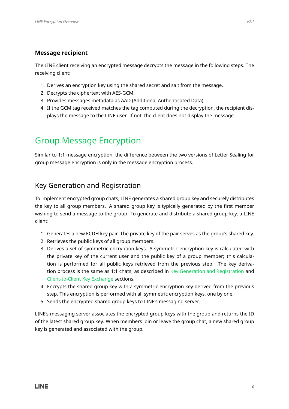#### **Message recipient**

The LINE client receiving an encrypted message decrypts the message in the following steps. The receiving client:

- 1. Derives an encryption key using the shared secret and salt from the message.
- 2. Decrypts the ciphertext with AES-GCM.
- 3. Provides messages metadata as AAD (Additional Authenticated Data).
- <span id="page-9-0"></span>4. If the GCM tag received matches the tag computed during the decryption, the recipient displays the message to the LINE user. If not, the client does not display the message.

## Group Message Encryption

<span id="page-9-1"></span>Similar to 1:1 message encryption, the difference between the two versions of Letter Sealing for group message encryption is only in the message encryption process.

### Key Generation and Registration

To implement encrypted group chats, LINE generates a shared group key and securely distributes the key to all group members. A shared group key is typically generated by the first member wishing to send a message to the group. To generate and distribute a shared group key, a LINE client:

- 1. Generates a new ECDH key pair. The private key of the pair serves as the group's shared key.
- 2. Retrieves the public keys of all group members.
- 3. Derives a set of symmetric encryption keys. A symmetric encryption key is calculated with the private key of the current user and the public key of a group member; this calculation is performed for all public keys retrieved from the previous step. The key derivation process is the same as 1:1 chats, as described in [Key Generation and Registration](#page-5-1) and [Client-to-Client Key Exchange](#page-6-0) sections.
- 4. Encrypts the shared group key with a symmetric encryption key derived from the previous step. This encryption is performed with all symmetric encryption keys, one by one.
- 5. Sends the encrypted shared group keys to LINE's messaging server.

<span id="page-9-2"></span>LINE's messaging server associates the encrypted group keys with the group and returns the ID of the latest shared group key. When members join or leave the group chat, a new shared group key is generated and associated with the group.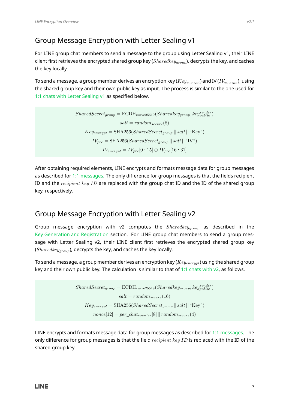### Group Message Encryption with Letter Sealing v1

For LINE group chat members to send a message to the group using Letter Sealing v1, their LINE client first retrieves the encrypted shared group key (*Sharedkeygroup*), decrypts the key, and caches the key locally.

To send a message, a group member derives an encryption key (*Keyencrypt*) and IV (*IVencrypt*), using the shared group key and their own public key as input. The process is similar to the one used for [1:1 chats with Letter Sealing v1](#page-6-1) as specified below.

> $SharedSecret_{group} = \text{ECDH}_{curve25519}(Sharedkey_{group}, key_{public}^{sender})$  $salt = random_{secure}(8)$  $Key_{\text{encrypt}} = \text{SHA256}(SharedSecret_{\text{group}} || salt || \text{``Key''})$  $IV_{pre} = \text{SHA256}(SharedSecret_{group} || salt || "IV")$  $IV_{\text{energy}} = IV_{\text{pre}}[0:15] \oplus IV_{\text{pre}}[16:31]$

After obtaining required elements, LINE encrypts and formats message data for group messages as described for [1:1 messages.](#page-6-1) The only difference for group messages is that the fields recipient ID and the *recipient key ID* are replaced with the group chat ID and the ID of the shared group key, respectively.

### <span id="page-10-0"></span>Group Message Encryption with Letter Sealing v2

Group message encryption with v2 computes the *Sharedkeygroup* as described in the [Key Generation and Registration](#page-9-1) section. For LINE group chat members to send a group message with Letter Sealing v2, their LINE client first retrieves the encrypted shared group key (*Sharedkeygroup*), decrypts the key, and caches the key locally.

To send a message, a group member derives an encryption key (*Keyencrypt*) using the shared group key and their own public key. The calculation is similar to that of 1:1 chats with  $v^2$ , as follows.

> $SharedSecret_{group} = \text{ECDH}_{curve25519}(Sharedkey_{group}, key_{public}^{sender})$  $salt = random_{secure}(16)$  $Key_{\text{encrypt}} = SHA256(SharedSecret_{\text{group}} || salt ||$ "Key")  $\textit{none}[12] = \textit{per\_chat}_{counter}[8] || \textit{random}_{secure}(4)$

<span id="page-10-1"></span>LINE encrypts and formats message data for group messages as described for [1:1 messages.](#page-7-1) The only difference for group messages is that the field *recipient key ID* is replaced with the ID of the shared group key.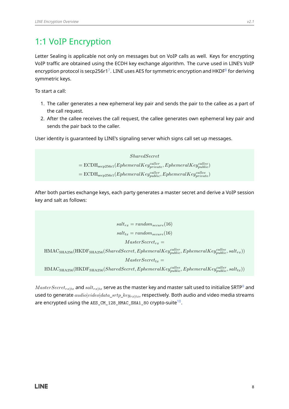## 1:1 VoIP Encryption

Letter Sealing is applicable not only on messages but on VoIP calls as well. Keys for encrypting VoIP traffic are obtained using the ECDH key exchange algorithm. The curve used in LINE's VoIP encryption protocol is secp256r1<sup>[7](#page-13-6)</sup>. LINE uses AES for symmetric encryption and HKDF $^{\rm 8}$  $^{\rm 8}$  $^{\rm 8}$  for deriving symmetric keys.

To start a call:

- 1. The caller generates a new ephemeral key pair and sends the pair to the callee as a part of the call request.
- 2. After the callee receives the call request, the callee generates own ephemeral key pair and sends the pair back to the caller.

User identity is guaranteed by LINE's signaling server which signs call set up messages.

*SharedSecret*  $=$   $ECDH<sub>seep256r1</sub>(EphemeralKey<sub>private</sub><sup>called</sup>, EphemeralKey<sub>public</sub>)$  $=$   $ECDH<sub>seep256r1</sub>(EphemeralKey<sub>public</sub><sup>called</sup>, EphemeralKey<sub>private</sub><sup>called</sup>)$ 

After both parties exchange keys, each party generates a master secret and derive a VoIP session key and salt as follows:

 $salt_{rx} = random_{secure}(16)$  $salt_{tr} = random_{secure}(16)$  $MasterSecret_{rr} =$  $\text{HMAC}_{\text{SHA256}}(\text{HKDF}_{\text{SHA256}}(\text{SharedSecret}, EphemeralKey^{caller}_{public}, EphemeralKey^{callee}_{public}, salt_{rx}))$  $MasterSecret_{tx} =$  $\text{HMAC}_{\text{SHA256}}(\text{HKDF}_{\text{SHA256}}(\text{SharedSecret}, EphemeralKey^{called}_{public}, EphemeralKey^{called}_{public}, salt_{tx}))$ 

 $MasterSecret_{rx|tx}$  and  $salt_{rx|tx}$  serve as the master key and master salt used to initialize SRTP<sup>[9](#page-13-8)</sup> and used to generate *audio*|*video*|*data*\_*srtp*\_*keyrx*|*tx*, respectively. Both audio and video media streams are encrypted using the <code>AES\_CM\_128\_HMAC\_SHA1\_80</code> crypto-suite $^{\text{10}}\text{.}$  $^{\text{10}}\text{.}$  $^{\text{10}}\text{.}$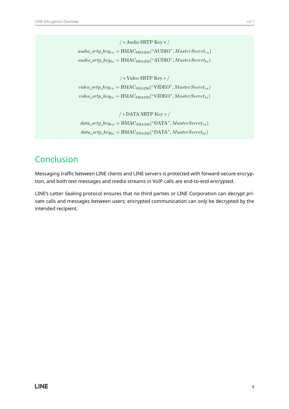*/* ∗ Audio SRTP Key ∗ */*  $audio\_strip\_key_{rx} = \text{HMAC}_{SHA256}$ <sup>("</sup>AUDIO",  $MasterSecret_{rx}$ )  $audio\_strip\_key_{tx} = \text{HMAC}_{\text{SHA256}}(\text{``AUDIO''}, MasterSecret_{tx})$ */* ∗ Video SRTP Key ∗ */*  $video\_strip\_key_{rx} = \text{HMAC}_{\text{SHA256}}(" \text{VIDEO}", MasterSecret_{rx})$  $video\_strip\_key_{tx} = \text{HMAC}_{\text{SHA256}}(\text{``VIDEO''}, MasterSecret_{tx})$ */* ∗ DATA SRTP Key ∗ */*  $data\_strip\_key_{rx} = \text{HMAC}_{\text{SHA256}}("\text{DATA}", MasterSecret_{rx})$  $data\_strip\_key_{tx} = \text{HMAC}_{\text{SHA256}}("DATA", MasterSecret_{tx})$ 

## <span id="page-12-0"></span>Conclusion

Messaging traffic between LINE clients and LINE servers is protected with forward-secure encryption, and both text messages and media streams in VoIP calls are end-to-end encrypted.

LINE's Letter Sealing protocol ensures that no third parties or LINE Corporation can decrypt private calls and messages between users; encrypted communication can only be decrypted by the intended recipient.